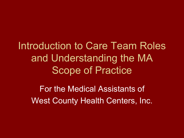Introduction to Care Team Roles and Understanding the MA Scope of Practice

For the Medical Assistants of West County Health Centers, Inc.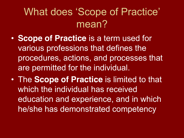## What does 'Scope of Practice' mean?

- **Scope of Practice** is a term used for various professions that defines the procedures, actions, and processes that are permitted for the individual.
- The **Scope of Practice** is limited to that which the individual has received education and experience, and in which he/she has demonstrated competency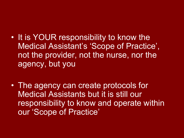- It is YOUR responsibility to know the Medical Assistant's 'Scope of Practice', not the provider, not the nurse, nor the agency, but you
- The agency can create protocols for Medical Assistants but it is still our responsibility to know and operate within our 'Scope of Practice'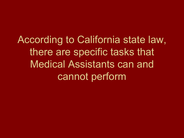According to California state law, there are specific tasks that Medical Assistants can and cannot perform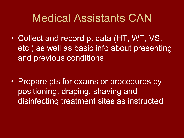## Medical Assistants CAN

• Collect and record pt data (HT, WT, VS, etc.) as well as basic info about presenting and previous conditions

• Prepare pts for exams or procedures by positioning, draping, shaving and disinfecting treatment sites as instructed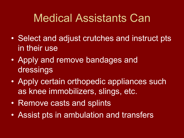## Medical Assistants Can

- Select and adjust crutches and instruct pts in their use
- Apply and remove bandages and dressings
- Apply certain orthopedic appliances such as knee immobilizers, slings, etc.
- Remove casts and splints
- Assist pts in ambulation and transfers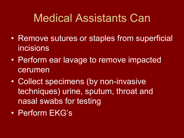## Medical Assistants Can

- Remove sutures or staples from superficial incisions
- Perform ear lavage to remove impacted cerumen
- Collect specimens (by non-invasive techniques) urine, sputum, throat and nasal swabs for testing
- Perform EKG's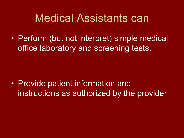## Medical Assistants can

• Perform (but not interpret) simple medical office laboratory and screening tests.

• Provide patient information and instructions as authorized by the provider.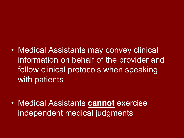#### Medical Assistants may convey clinical information on behalf of the provider and follow clinical protocols when speaking with patients

 Medical Assistants **cannot** exercise independent medical judgments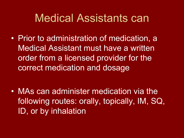## Medical Assistants can

• Prior to administration of medication, a Medical Assistant must have a written order from a licensed provider for the correct medication and dosage

 MAs can administer medication via the following routes: orally, topically, IM, SQ, ID, or by inhalation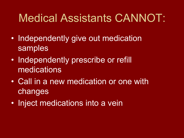# Medical Assistants CANNOT:

- Independently give out medication samples
- Independently prescribe or refill medications
- Call in a new medication or one with changes
- Inject medications into a vein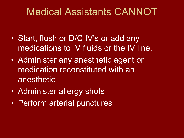#### Medical Assistants CANNOT

- Start, flush or D/C IV's or add any medications to IV fluids or the IV line.
- Administer any anesthetic agent or medication reconstituted with an anesthetic
- Administer allergy shots
- Perform arterial punctures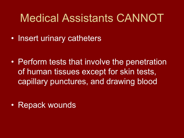## Medical Assistants CANNOT

• Insert urinary catheters

• Perform tests that involve the penetration of human tissues except for skin tests, capillary punctures, and drawing blood

• Repack wounds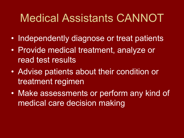## Medical Assistants CANNOT

- Independently diagnose or treat patients
- Provide medical treatment, analyze or read test results
- Advise patients about their condition or treatment regimen
- Make assessments or perform any kind of medical care decision making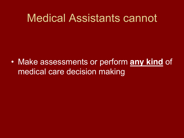### Medical Assistants cannot

 Make assessments or perform **any kind** of medical care decision making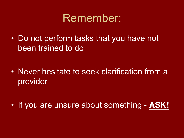#### Remember:

• Do not perform tasks that you have not been trained to do

 Never hesitate to seek clarification from a provider

If you are unsure about something - **ASK!**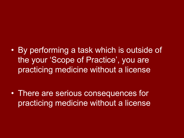By performing a task which is outside of the your 'Scope of Practice', you are practicing medicine without a license

• There are serious consequences for practicing medicine without a license